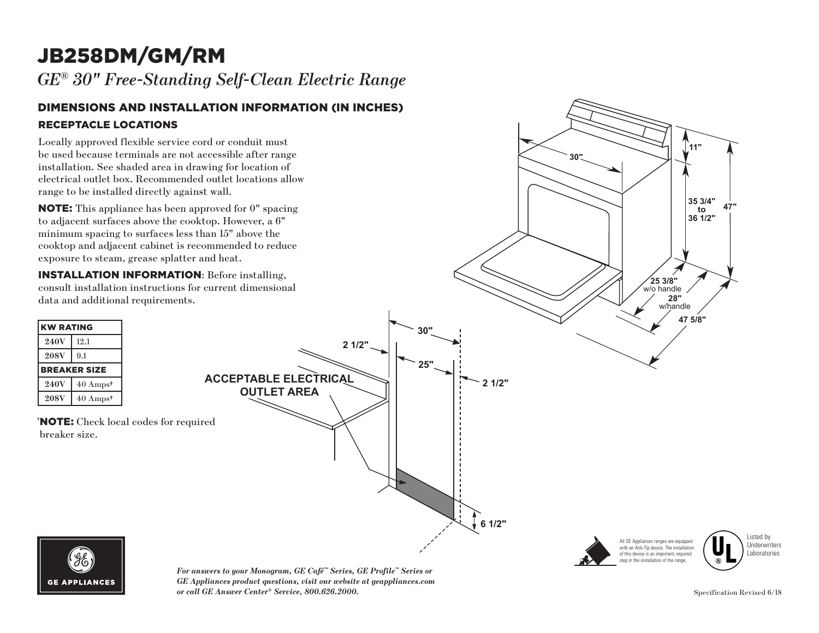# JB258DM/GM/RM

*GE® 30" Free-Standing Self-Clean Electric Range* 

#### DIMENSIONS AND INSTALLATION INFORMATION (IN INCHES) RECEPTACLE LOCATIONS

Locally approved flexible service cord or conduit must be used because to installation. See s electrical outlet b range to be instal

|                            |                                                                     | Bocally apployed Hendre set vice cord of come<br>be used because terminals are not accessible after range<br>installation. See shaded area in drawing for location of<br>electrical outlet box. Recommended outlet locations allow<br>range to be installed directly against wall.    | 11"<br>30"                                                                                                                                                                                                                |
|----------------------------|---------------------------------------------------------------------|---------------------------------------------------------------------------------------------------------------------------------------------------------------------------------------------------------------------------------------------------------------------------------------|---------------------------------------------------------------------------------------------------------------------------------------------------------------------------------------------------------------------------|
|                            |                                                                     | <b>NOTE:</b> This appliance has been approved for 0" spacing<br>to adjacent surfaces above the cooktop. However, a 6"<br>minimum spacing to surfaces less than 15" above the<br>cooktop and adjacent cabinet is recommended to reduce<br>exposure to steam, grease splatter and heat. | 35 3/4"<br>to<br>36 1/2"                                                                                                                                                                                                  |
|                            |                                                                     | <b>INSTALLATION INFORMATION: Before installing,</b><br>consult installation instructions for current dimensional<br>data and additional requirements.                                                                                                                                 | $\sqrt{253/8}$ " w/o handle<br>28"<br>w/handle                                                                                                                                                                            |
| <b>KW RATING</b>           |                                                                     | 30"                                                                                                                                                                                                                                                                                   | 47 5/8"                                                                                                                                                                                                                   |
| <b>240V</b>                | 12.1                                                                | 2 1/2"                                                                                                                                                                                                                                                                                |                                                                                                                                                                                                                           |
| <b>208V</b>                | 9.1                                                                 |                                                                                                                                                                                                                                                                                       |                                                                                                                                                                                                                           |
| <b>240V</b><br><b>208V</b> | <b>BREAKER SIZE</b><br>40 Amps <sup>+</sup><br>40 Amps <sup>+</sup> | 25"<br><b>ACCEPTABLE ELECTRICAL</b><br><b>OUTLET AREA</b>                                                                                                                                                                                                                             | 2 1/2"                                                                                                                                                                                                                    |
| breaker size.              |                                                                     | <b>NOTE:</b> Check local codes for required                                                                                                                                                                                                                                           | 6 1/2"                                                                                                                                                                                                                    |
|                            | $\mathscr{G}_{6}$                                                   | $CP$ $C_2$ $C_2^m$ $C_3$ $\ldots$ $C_4^m$ $D_m$ , $C_1^m$ .                                                                                                                                                                                                                           | Listed by<br>All GE Appliances ranges are equipped<br>Underwriters<br>with an Anti-Tip device. The installation<br>Laboratories<br>of this device is an important, required<br>step in the installation of the range<br>® |



> *For answers to your Monogram, GE Café™ Series, GE Profile™ Series or GE Appliances product questions, visit our website at geappliances.com*  **11"** *or call GE Answer Center® Service, 800.626.2000.* Specification Revised 6/18 **30"**